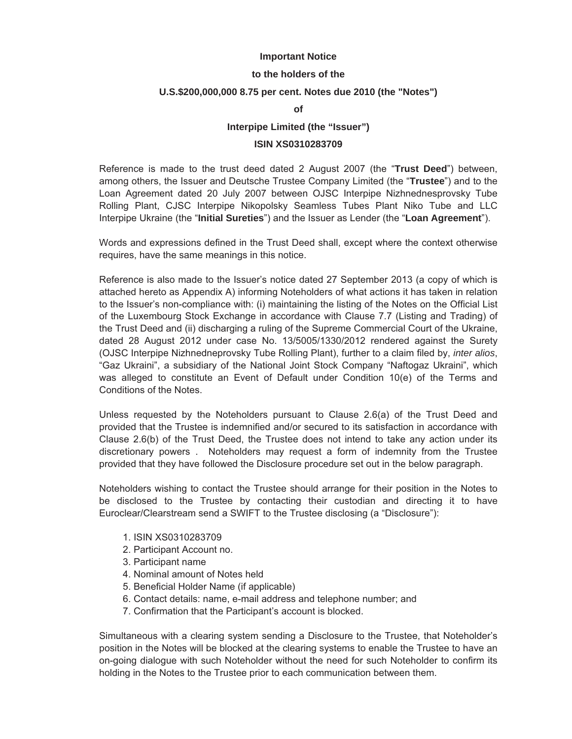### **Important Notice**

#### **to the holders of the**

### **U.S.\$200,000,000 8.75 per cent. Notes due 2010 (the "Notes")**

**of**

#### **Interpipe Limited (the "Issuer")**

## **ISIN XS0310283709**

Reference is made to the trust deed dated 2 August 2007 (the "**Trust Deed**") between, among others, the Issuer and Deutsche Trustee Company Limited (the "**Trustee**") and to the Loan Agreement dated 20 July 2007 between OJSC Interpipe Nizhnednesprovsky Tube Rolling Plant, CJSC Interpipe Nikopolsky Seamless Tubes Plant Niko Tube and LLC Interpipe Ukraine (the "**Initial Sureties**") and the Issuer as Lender (the "**Loan Agreement**").

Words and expressions defined in the Trust Deed shall, except where the context otherwise requires, have the same meanings in this notice.

Reference is also made to the Issuer's notice dated 27 September 2013 (a copy of which is attached hereto as Appendix A) informing Noteholders of what actions it has taken in relation to the Issuer's non-compliance with: (i) maintaining the listing of the Notes on the Official List of the Luxembourg Stock Exchange in accordance with Clause 7.7 (Listing and Trading) of the Trust Deed and (ii) discharging a ruling of the Supreme Commercial Court of the Ukraine, dated 28 August 2012 under case No. 13/5005/1330/2012 rendered against the Surety (OJSC Interpipe Nizhnedneprovsky Tube Rolling Plant), further to a claim filed by, *inter alios*, "Gaz Ukraini", a subsidiary of the National Joint Stock Company "Naftogaz Ukraini", which was alleged to constitute an Event of Default under Condition 10(e) of the Terms and Conditions of the Notes.

Unless requested by the Noteholders pursuant to Clause 2.6(a) of the Trust Deed and provided that the Trustee is indemnified and/or secured to its satisfaction in accordance with Clause 2.6(b) of the Trust Deed, the Trustee does not intend to take any action under its discretionary powers . Noteholders may request a form of indemnity from the Trustee provided that they have followed the Disclosure procedure set out in the below paragraph.

Noteholders wishing to contact the Trustee should arrange for their position in the Notes to be disclosed to the Trustee by contacting their custodian and directing it to have Euroclear/Clearstream send a SWIFT to the Trustee disclosing (a "Disclosure"):

- 1. ISIN XS0310283709
- 2. Participant Account no.
- 3. Participant name
- 4. Nominal amount of Notes held
- 5. Beneficial Holder Name (if applicable)
- 6. Contact details: name, e-mail address and telephone number; and
- 7. Confirmation that the Participant's account is blocked.

Simultaneous with a clearing system sending a Disclosure to the Trustee, that Noteholder's position in the Notes will be blocked at the clearing systems to enable the Trustee to have an on-going dialogue with such Noteholder without the need for such Noteholder to confirm its holding in the Notes to the Trustee prior to each communication between them.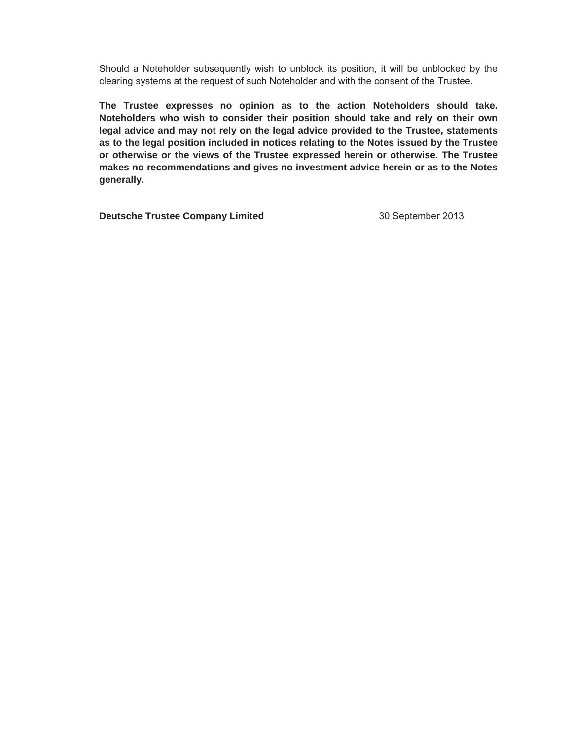Should a Noteholder subsequently wish to unblock its position, it will be unblocked by the clearing systems at the request of such Noteholder and with the consent of the Trustee.

**The Trustee expresses no opinion as to the action Noteholders should take. Noteholders who wish to consider their position should take and rely on their own legal advice and may not rely on the legal advice provided to the Trustee, statements as to the legal position included in notices relating to the Notes issued by the Trustee or otherwise or the views of the Trustee expressed herein or otherwise. The Trustee makes no recommendations and gives no investment advice herein or as to the Notes generally.** 

**Deutsche Trustee Company Limited**  30 September 2013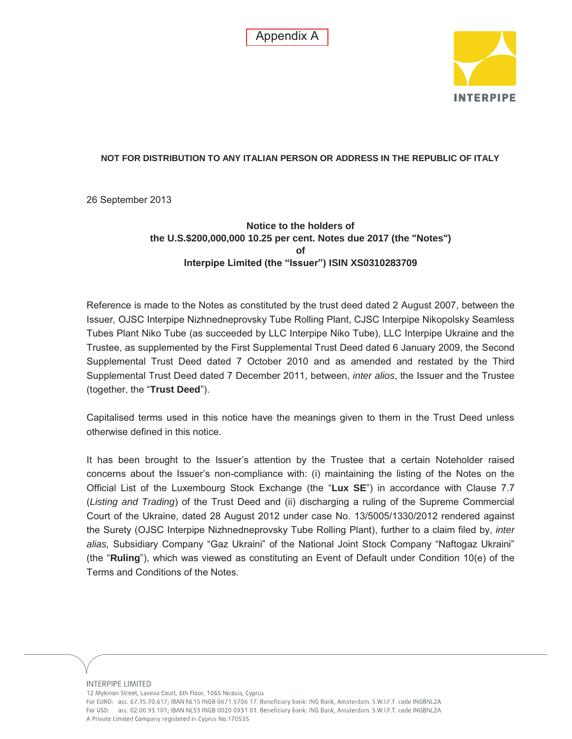Appendix A



# **NOT FOR DISTRIBUTION TO ANY ITALIAN PERSON OR ADDRESS IN THE REPUBLIC OF ITALY**

26 September 2013

**Notice to the holders of the U.S.\$200,000,000 10.25 per cent. Notes due 2017 (the "Notes") of Interpipe Limited (the "Issuer") ISIN XS0310283709** 

Reference is made to the Notes as constituted by the trust deed dated 2 August 2007, between the Issuer, OJSC Interpipe Nizhnedneprovsky Tube Rolling Plant, CJSC Interpipe Nikopolsky Seamless Tubes Plant Niko Tube (as succeeded by LLC Interpipe Niko Tube), LLC Interpipe Ukraine and the Trustee, as supplemented by the First Supplemental Trust Deed dated 6 January 2009, the Second Supplemental Trust Deed dated 7 October 2010 and as amended and restated by the Third Supplemental Trust Deed dated 7 December 2011, between, *inter alios*, the Issuer and the Trustee (together, the "**Trust Deed**").

Capitalised terms used in this notice have the meanings given to them in the Trust Deed unless otherwise defined in this notice.

It has been brought to the Issuer's attention by the Trustee that a certain Noteholder raised concerns about the Issuer's non-compliance with: (i) maintaining the listing of the Notes on the Official List of the Luxembourg Stock Exchange (the "**Lux SE**") in accordance with Clause 7.7 (*Listing and Trading*) of the Trust Deed and (ii) discharging a ruling of the Supreme Commercial Court of the Ukraine, dated 28 August 2012 under case No. 13/5005/1330/2012 rendered against the Surety (OJSC Interpipe Nizhnedneprovsky Tube Rolling Plant), further to a claim filed by, *inter alias,* Subsidiary Company "Gaz Ukraini" of the National Joint Stock Company "Naftogaz Ukraini" (the "**Ruling**"), which was viewed as constituting an Event of Default under Condition 10(e) of the Terms and Conditions of the Notes.